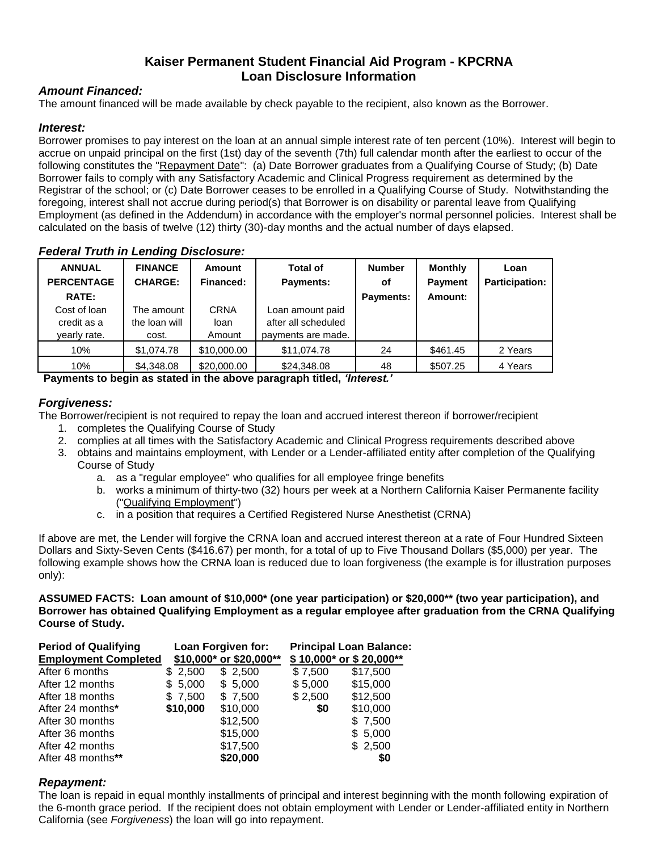# **Kaiser Permanent Student Financial Aid Program - KPCRNA Loan Disclosure Information**

## *Amount Financed:*

The amount financed will be made available by check payable to the recipient, also known as the Borrower.

### *Interest:*

Borrower promises to pay interest on the loan at an annual simple interest rate of ten percent (10%). Interest will begin to accrue on unpaid principal on the first (1st) day of the seventh (7th) full calendar month after the earliest to occur of the following constitutes the "Repayment Date": (a) Date Borrower graduates from a Qualifying Course of Study; (b) Date Borrower fails to comply with any Satisfactory Academic and Clinical Progress requirement as determined by the Registrar of the school; or (c) Date Borrower ceases to be enrolled in a Qualifying Course of Study. Notwithstanding the foregoing, interest shall not accrue during period(s) that Borrower is on disability or parental leave from Qualifying Employment (as defined in the Addendum) in accordance with the employer's normal personnel policies. Interest shall be calculated on the basis of twelve (12) thirty (30)-day months and the actual number of days elapsed.

*Federal Truth in Lending Disclosure:*

| <b>ANNUAL</b><br><b>PERCENTAGE</b><br><b>RATE:</b><br>Cost of Ioan<br>credit as a<br>yearly rate. | <b>FINANCE</b><br><b>CHARGE:</b><br>The amount<br>the loan will<br>cost. | <b>Amount</b><br>Financed:<br>CRNA<br>loan<br>Amount | <b>Total of</b><br><b>Payments:</b><br>Loan amount paid<br>after all scheduled<br>payments are made. | <b>Number</b><br>οf<br><b>Payments:</b> | <b>Monthly</b><br><b>Payment</b><br>Amount: | Loan<br><b>Participation:</b> |
|---------------------------------------------------------------------------------------------------|--------------------------------------------------------------------------|------------------------------------------------------|------------------------------------------------------------------------------------------------------|-----------------------------------------|---------------------------------------------|-------------------------------|
| 10%                                                                                               | \$1,074.78                                                               | \$10,000.00                                          | \$11,074.78                                                                                          | 24                                      | \$461.45                                    | 2 Years                       |
| 10%                                                                                               | \$4,348.08                                                               | \$20,000.00                                          | \$24,348.08                                                                                          | 48                                      | \$507.25                                    | 4 Years                       |

**Payments to begin as stated in the above paragraph titled,** *'Interest.'*

## *Forgiveness:*

The Borrower/recipient is not required to repay the loan and accrued interest thereon if borrower/recipient

- 1. completes the Qualifying Course of Study
- 2. complies at all times with the Satisfactory Academic and Clinical Progress requirements described above
- 3. obtains and maintains employment, with Lender or a Lender-affiliated entity after completion of the Qualifying Course of Study
	- a. as a "regular employee" who qualifies for all employee fringe benefits
	- b. works a minimum of thirty-two (32) hours per week at a Northern California Kaiser Permanente facility ("Qualifying Employment")
	- c. in a position that requires a Certified Registered Nurse Anesthetist (CRNA)

If above are met, the Lender will forgive the CRNA loan and accrued interest thereon at a rate of Four Hundred Sixteen Dollars and Sixty-Seven Cents (\$416.67) per month, for a total of up to Five Thousand Dollars (\$5,000) per year. The following example shows how the CRNA loan is reduced due to loan forgiveness (the example is for illustration purposes only):

**ASSUMED FACTS: Loan amount of \$10,000\* (one year participation) or \$20,000\*\* (two year participation), and Borrower has obtained Qualifying Employment as a regular employee after graduation from the CRNA Qualifying Course of Study.**

| <b>Period of Qualifying</b> |          | Loan Forgiven for:      | <b>Principal Loan Balance:</b> |                         |  |
|-----------------------------|----------|-------------------------|--------------------------------|-------------------------|--|
| <b>Employment Completed</b> |          | \$10,000* or \$20,000** |                                | \$10,000* or \$20,000** |  |
| After 6 months              | \$2,500  | \$2,500                 | \$7,500                        | \$17,500                |  |
| After 12 months             | \$5,000  | \$5,000                 | \$5,000                        | \$15,000                |  |
| After 18 months             | \$7,500  | \$7,500                 | \$2,500                        | \$12,500                |  |
| After 24 months*            | \$10,000 | \$10,000                | \$0                            | \$10,000                |  |
| After 30 months             |          | \$12,500                |                                | \$7,500                 |  |
| After 36 months             |          | \$15,000                |                                | \$5,000                 |  |
| After 42 months             |          | \$17,500                |                                | \$2,500                 |  |
| After 48 months**           |          | \$20,000                |                                | \$0                     |  |

### *Repayment:*

The loan is repaid in equal monthly installments of principal and interest beginning with the month following expiration of the 6-month grace period. If the recipient does not obtain employment with Lender or Lender-affiliated entity in Northern California (see *Forgiveness*) the loan will go into repayment.